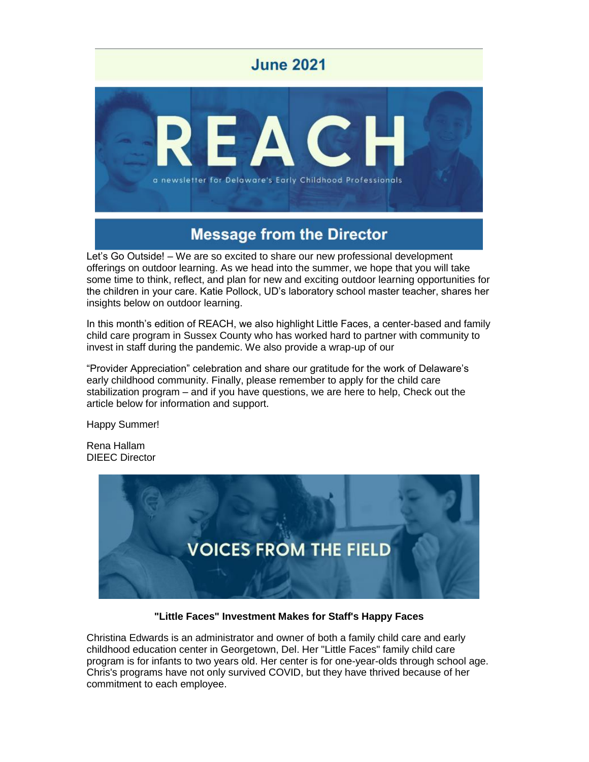

# **Message from the Director**

Let's Go Outside! – We are so excited to share our new professional development offerings on outdoor learning. As we head into the summer, we hope that you will take some time to think, reflect, and plan for new and exciting outdoor learning opportunities for the children in your care. Katie Pollock, UD's laboratory school master teacher, shares her insights below on outdoor learning.

In this month's edition of REACH, we also highlight Little Faces, a center-based and family child care program in Sussex County who has worked hard to partner with community to invest in staff during the pandemic. We also provide a wrap-up of our

"Provider Appreciation" celebration and share our gratitude for the work of Delaware's early childhood community. Finally, please remember to apply for the child care stabilization program – and if you have questions, we are here to help, Check out the article below for information and support.

Happy Summer!

Rena Hallam DIEEC Director



### **"Little Faces" Investment Makes for Staff's Happy Faces**

Christina Edwards is an administrator and owner of both a family child care and early childhood education center in Georgetown, Del. Her "Little Faces" family child care program is for infants to two years old. Her center is for one-year-olds through school age. Chris's programs have not only survived COVID, but they have thrived because of her commitment to each employee.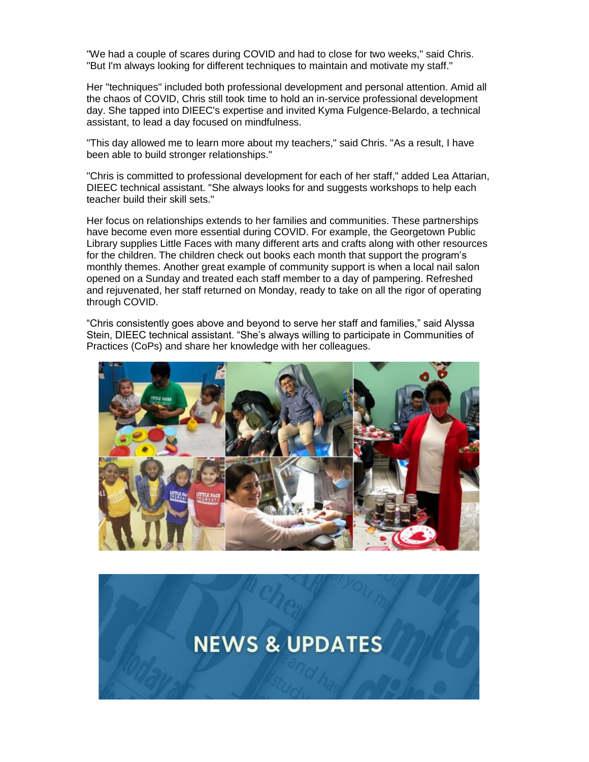"We had a couple of scares during COVID and had to close for two weeks," said Chris. "But I'm always looking for different techniques to maintain and motivate my staff."

Her "techniques" included both professional development and personal attention. Amid all the chaos of COVID, Chris still took time to hold an in-service professional development day. She tapped into DIEEC's expertise and invited Kyma Fulgence-Belardo, a technical assistant, to lead a day focused on mindfulness.

"This day allowed me to learn more about my teachers," said Chris. "As a result, I have been able to build stronger relationships."

"Chris is committed to professional development for each of her staff," added Lea Attarian, DIEEC technical assistant. "She always looks for and suggests workshops to help each teacher build their skill sets."

Her focus on relationships extends to her families and communities. These partnerships have become even more essential during COVID. For example, the Georgetown Public Library supplies Little Faces with many different arts and crafts along with other resources for the children. The children check out books each month that support the program's monthly themes. Another great example of community support is when a local nail salon opened on a Sunday and treated each staff member to a day of pampering. Refreshed and rejuvenated, her staff returned on Monday, ready to take on all the rigor of operating through COVID.

"Chris consistently goes above and beyond to serve her staff and families," said Alyssa Stein, DIEEC technical assistant. "She's always willing to participate in Communities of Practices (CoPs) and share her knowledge with her colleagues.



**NEWS & UPDATES**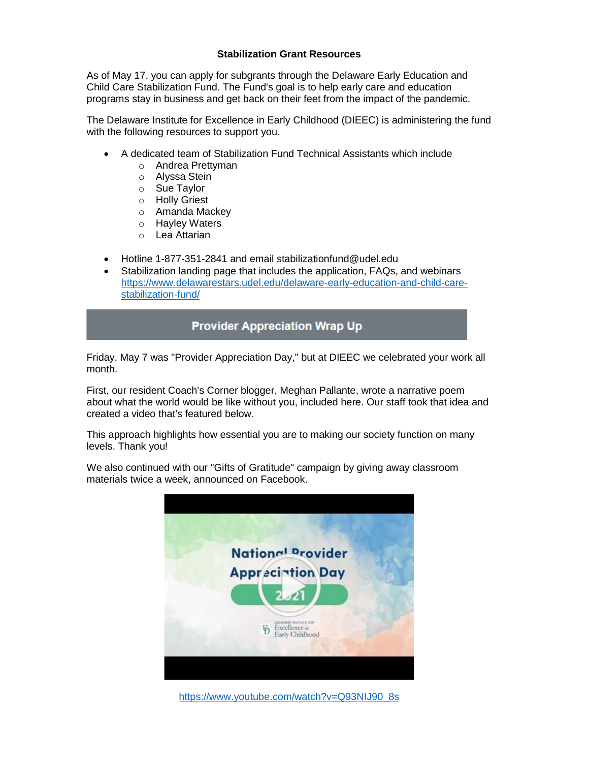### **Stabilization Grant Resources**

As of May 17, you can apply for subgrants through the Delaware Early Education and Child Care Stabilization Fund. The Fund's goal is to help early care and education programs stay in business and get back on their feet from the impact of the pandemic.

The Delaware Institute for Excellence in Early Childhood (DIEEC) is administering the fund with the following resources to support you.

- A dedicated team of Stabilization Fund Technical Assistants which include
	- o Andrea Prettyman
	- o Alyssa Stein
	- o Sue Taylor
	- o Holly Griest
	- o Amanda Mackey
	- o Hayley Waters
	- o Lea Attarian
- Hotline 1-877-351-2841 and email stabilizationfund@udel.edu
- Stabilization landing page that includes the application, FAQs, and webinars [https://www.delawarestars.udel.edu/delaware-early-education-and-child-care](https://www.delawarestars.udel.edu/delaware-early-education-and-child-care-stabilization-fund/)[stabilization-fund/](https://www.delawarestars.udel.edu/delaware-early-education-and-child-care-stabilization-fund/)

### **Provider Appreciation Wrap Up**

Friday, May 7 was "Provider Appreciation Day," but at DIEEC we celebrated your work all month.

First, our resident Coach's Corner blogger, Meghan Pallante, wrote a narrative poem about what the world would be like without you, included here. Our staff took that idea and created a video that's featured below.

This approach highlights how essential you are to making our society function on many levels. Thank you!

We also continued with our "Gifts of Gratitude" campaign by giving away classroom materials twice a week, announced on Facebook.



[https://www.youtube.com/watch?v=Q93NIJ90\\_8s](https://www.youtube.com/watch?v=Q93NIJ90_8s)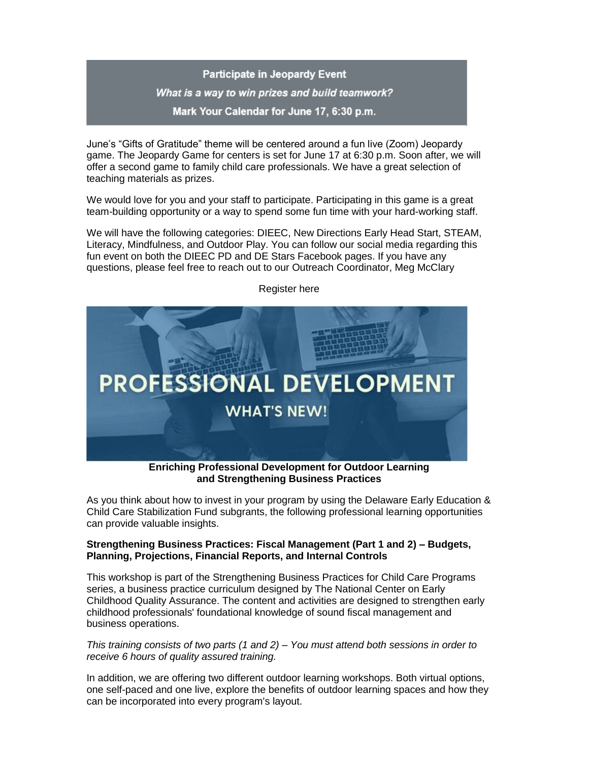## **Participate in Jeopardy Event** What is a way to win prizes and build teamwork? Mark Your Calendar for June 17, 6:30 p.m.

June's "Gifts of Gratitude" theme will be centered around a fun live (Zoom) Jeopardy game. The Jeopardy Game for centers is set for June 17 at 6:30 p.m. Soon after, we will offer a second game to family child care professionals. We have a great selection of teaching materials as prizes.

We would love for you and your staff to participate. Participating in this game is a great team-building opportunity or a way to spend some fun time with your hard-working staff.

We will have the following categories: DIEEC, New Directions Early Head Start, STEAM, Literacy, Mindfulness, and Outdoor Play. You can follow our social media regarding this fun event on both the DIEEC PD and DE Stars Facebook pages. If you have any questions, please feel free to reach out to our Outreach Coordinator, Meg McClary



Register here

**and Strengthening Business Practices**

As you think about how to invest in your program by using the Delaware Early Education & Child Care Stabilization Fund subgrants, the following professional learning opportunities can provide valuable insights.

### **Strengthening Business Practices: Fiscal Management (Part 1 and 2) – Budgets, Planning, Projections, Financial Reports, and Internal Controls**

This workshop is part of the Strengthening Business Practices for Child Care Programs series, a business practice curriculum designed by The National Center on Early Childhood Quality Assurance. The content and activities are designed to strengthen early childhood professionals' foundational knowledge of sound fiscal management and business operations.

### *This training consists of two parts (1 and 2) – You must attend both sessions in order to receive 6 hours of quality assured training.*

In addition, we are offering two different outdoor learning workshops. Both virtual options, one self-paced and one live, explore the benefits of outdoor learning spaces and how they can be incorporated into every program's layout.